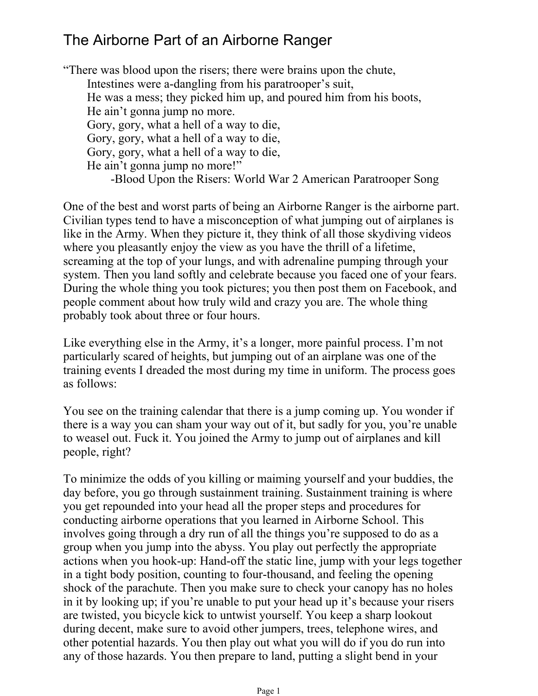## The Airborne Part of an Airborne Ranger

Intestines were a-dangling from his paratrooper's suit, He was a mess; they picked him up, and poured him from his boots, He ain't gonna jump no more. Gory, gory, what a hell of a way to die, Gory, gory, what a hell of a way to die, Gory, gory, what a hell of a way to die, -Blood Upon the Risers: World War 2 American Paratrooper Song He ain't gonna jump no more!" "There was blood upon the risers; there were brains upon the chute,

One of the best and worst parts of being an Airborne Ranger is the airborne part. Civilian types tend to have a misconception of what jumping out of airplanes is like in the Army. When they picture it, they think of all those skydiving videos where you pleasantly enjoy the view as you have the thrill of a lifetime, screaming at the top of your lungs, and with adrenaline pumping through your system. Then you land softly and celebrate because you faced one of your fears. During the whole thing you took pictures; you then post them on Facebook, and people comment about how truly wild and crazy you are. The whole thing probably took about three or four hours.

Like everything else in the Army, it's a longer, more painful process. I'm not particularly scared of heights, but jumping out of an airplane was one of the training events I dreaded the most during my time in uniform. The process goes as follows:

You see on the training calendar that there is a jump coming up. You wonder if there is a way you can sham your way out of it, but sadly for you, you're unable to weasel out. Fuck it. You joined the Army to jump out of airplanes and kill people, right?

To minimize the odds of you killing or maiming yourself and your buddies, the day before, you go through sustainment training. Sustainment training is where you get repounded into your head all the proper steps and procedures for conducting airborne operations that you learned in Airborne School. This involves going through a dry run of all the things you're supposed to do as a group when you jump into the abyss. You play out perfectly the appropriate actions when you hook-up: Hand-off the static line, jump with your legs together in a tight body position, counting to four-thousand, and feeling the opening shock of the parachute. Then you make sure to check your canopy has no holes in it by looking up; if you're unable to put your head up it's because your risers are twisted, you bicycle kick to untwist yourself. You keep a sharp lookout during decent, make sure to avoid other jumpers, trees, telephone wires, and other potential hazards. You then play out what you will do if you do run into any of those hazards. You then prepare to land, putting a slight bend in your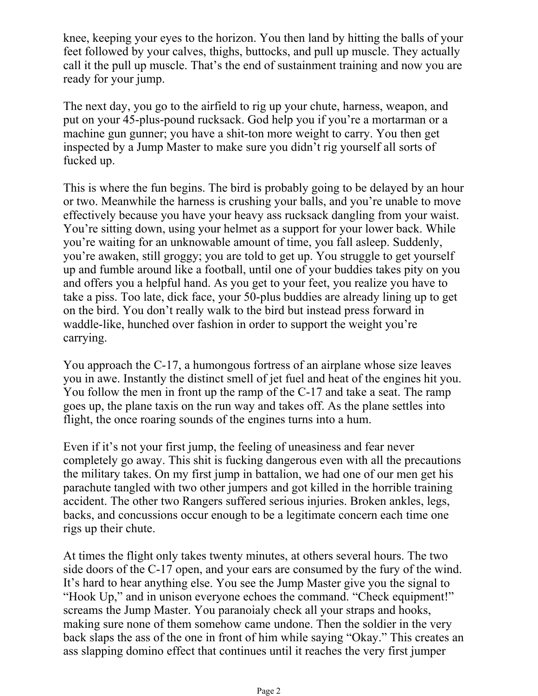knee, keeping your eyes to the horizon. You then land by hitting the balls of your feet followed by your calves, thighs, buttocks, and pull up muscle. They actually call it the pull up muscle. That's the end of sustainment training and now you are ready for your jump.

The next day, you go to the airfield to rig up your chute, harness, weapon, and put on your 45-plus-pound rucksack. God help you if you're a mortarman or a machine gun gunner; you have a shit-ton more weight to carry. You then get inspected by a Jump Master to make sure you didn't rig yourself all sorts of fucked up.

This is where the fun begins. The bird is probably going to be delayed by an hour or two. Meanwhile the harness is crushing your balls, and you're unable to move effectively because you have your heavy ass rucksack dangling from your waist. You're sitting down, using your helmet as a support for your lower back. While you're waiting for an unknowable amount of time, you fall asleep. Suddenly, you're awaken, still groggy; you are told to get up. You struggle to get yourself up and fumble around like a football, until one of your buddies takes pity on you and offers you a helpful hand. As you get to your feet, you realize you have to take a piss. Too late, dick face, your 50-plus buddies are already lining up to get on the bird. You don't really walk to the bird but instead press forward in waddle-like, hunched over fashion in order to support the weight you're carrying.

You approach the C-17, a humongous fortress of an airplane whose size leaves you in awe. Instantly the distinct smell of jet fuel and heat of the engines hit you. You follow the men in front up the ramp of the C-17 and take a seat. The ramp goes up, the plane taxis on the run way and takes off. As the plane settles into flight, the once roaring sounds of the engines turns into a hum.

Even if it's not your first jump, the feeling of uneasiness and fear never completely go away. This shit is fucking dangerous even with all the precautions the military takes. On my first jump in battalion, we had one of our men get his parachute tangled with two other jumpers and got killed in the horrible training accident. The other two Rangers suffered serious injuries. Broken ankles, legs, backs, and concussions occur enough to be a legitimate concern each time one rigs up their chute.

At times the flight only takes twenty minutes, at others several hours. The two side doors of the C-17 open, and your ears are consumed by the fury of the wind. It's hard to hear anything else. You see the Jump Master give you the signal to "Hook Up," and in unison everyone echoes the command. "Check equipment!" screams the Jump Master. You paranoialy check all your straps and hooks, making sure none of them somehow came undone. Then the soldier in the very back slaps the ass of the one in front of him while saying "Okay." This creates an ass slapping domino effect that continues until it reaches the very first jumper